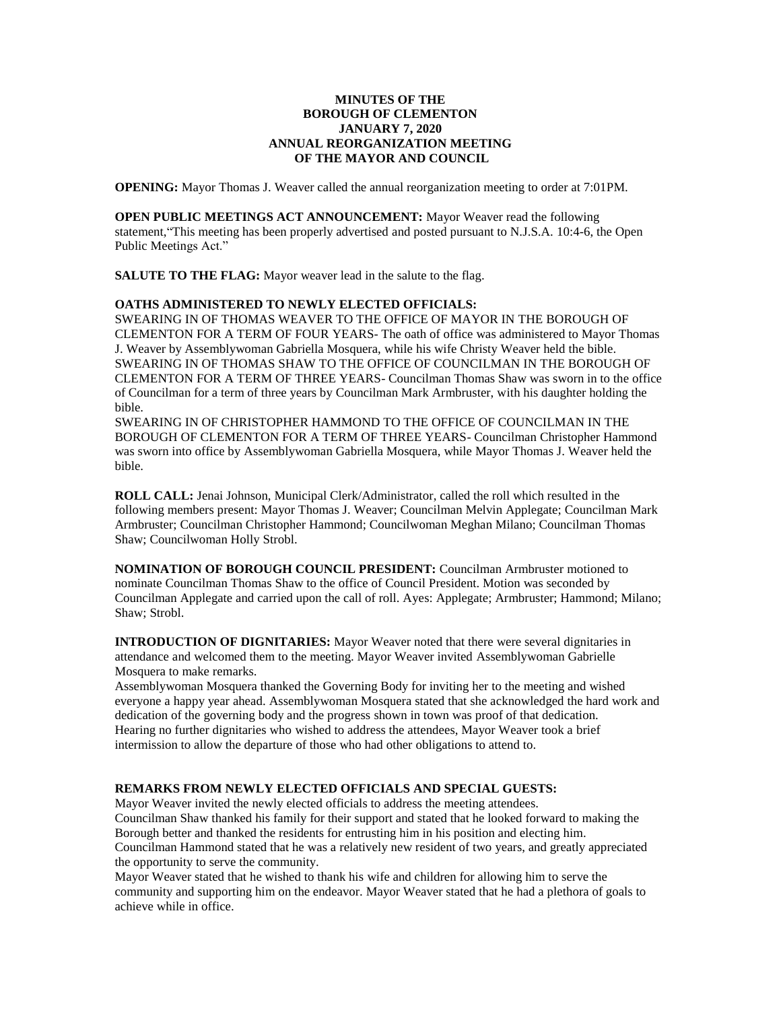### **MINUTES OF THE BOROUGH OF CLEMENTON JANUARY 7, 2020 ANNUAL REORGANIZATION MEETING OF THE MAYOR AND COUNCIL**

**OPENING:** Mayor Thomas J. Weaver called the annual reorganization meeting to order at 7:01PM.

**OPEN PUBLIC MEETINGS ACT ANNOUNCEMENT:** Mayor Weaver read the following statement,"This meeting has been properly advertised and posted pursuant to N.J.S.A. 10:4-6, the Open Public Meetings Act."

**SALUTE TO THE FLAG:** Mayor weaver lead in the salute to the flag.

### **OATHS ADMINISTERED TO NEWLY ELECTED OFFICIALS:**

SWEARING IN OF THOMAS WEAVER TO THE OFFICE OF MAYOR IN THE BOROUGH OF CLEMENTON FOR A TERM OF FOUR YEARS- The oath of office was administered to Mayor Thomas J. Weaver by Assemblywoman Gabriella Mosquera, while his wife Christy Weaver held the bible. SWEARING IN OF THOMAS SHAW TO THE OFFICE OF COUNCILMAN IN THE BOROUGH OF CLEMENTON FOR A TERM OF THREE YEARS- Councilman Thomas Shaw was sworn in to the office of Councilman for a term of three years by Councilman Mark Armbruster, with his daughter holding the bible.

SWEARING IN OF CHRISTOPHER HAMMOND TO THE OFFICE OF COUNCILMAN IN THE BOROUGH OF CLEMENTON FOR A TERM OF THREE YEARS- Councilman Christopher Hammond was sworn into office by Assemblywoman Gabriella Mosquera, while Mayor Thomas J. Weaver held the bible.

**ROLL CALL:** Jenai Johnson, Municipal Clerk/Administrator, called the roll which resulted in the following members present: Mayor Thomas J. Weaver; Councilman Melvin Applegate; Councilman Mark Armbruster; Councilman Christopher Hammond; Councilwoman Meghan Milano; Councilman Thomas Shaw; Councilwoman Holly Strobl.

**NOMINATION OF BOROUGH COUNCIL PRESIDENT:** Councilman Armbruster motioned to nominate Councilman Thomas Shaw to the office of Council President. Motion was seconded by Councilman Applegate and carried upon the call of roll. Ayes: Applegate; Armbruster; Hammond; Milano; Shaw; Strobl.

**INTRODUCTION OF DIGNITARIES:** Mayor Weaver noted that there were several dignitaries in attendance and welcomed them to the meeting. Mayor Weaver invited Assemblywoman Gabrielle Mosquera to make remarks.

Assemblywoman Mosquera thanked the Governing Body for inviting her to the meeting and wished everyone a happy year ahead. Assemblywoman Mosquera stated that she acknowledged the hard work and dedication of the governing body and the progress shown in town was proof of that dedication. Hearing no further dignitaries who wished to address the attendees, Mayor Weaver took a brief intermission to allow the departure of those who had other obligations to attend to.

## **REMARKS FROM NEWLY ELECTED OFFICIALS AND SPECIAL GUESTS:**

Mayor Weaver invited the newly elected officials to address the meeting attendees. Councilman Shaw thanked his family for their support and stated that he looked forward to making the Borough better and thanked the residents for entrusting him in his position and electing him. Councilman Hammond stated that he was a relatively new resident of two years, and greatly appreciated the opportunity to serve the community.

Mayor Weaver stated that he wished to thank his wife and children for allowing him to serve the community and supporting him on the endeavor. Mayor Weaver stated that he had a plethora of goals to achieve while in office.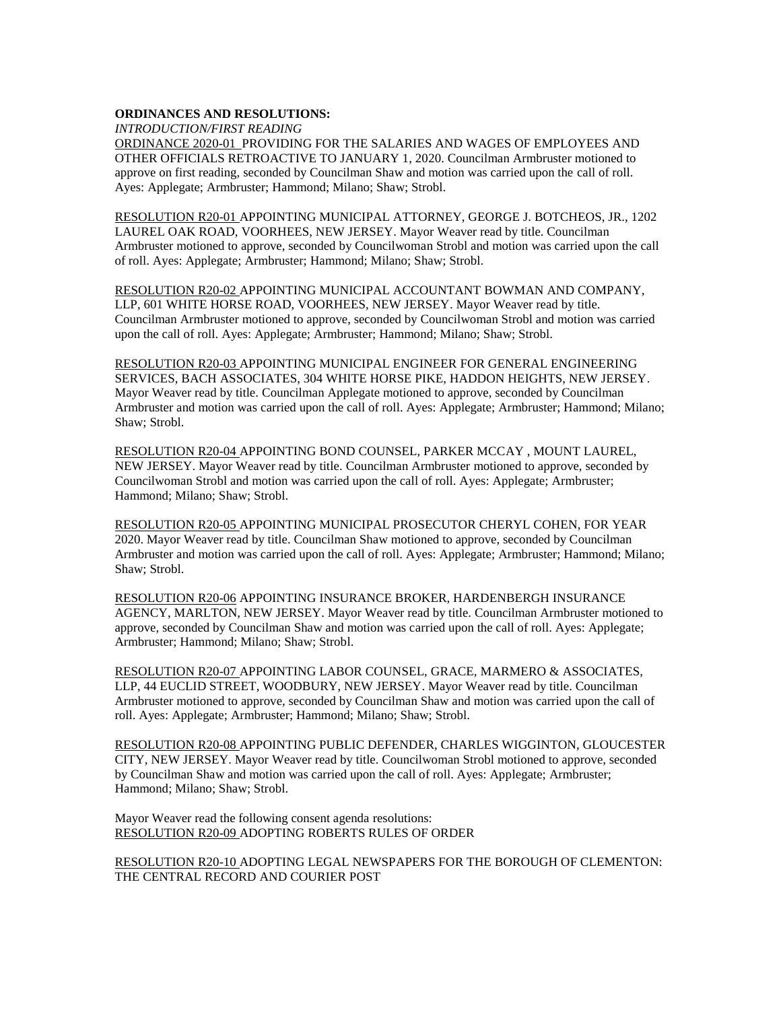#### **ORDINANCES AND RESOLUTIONS:**

*INTRODUCTION/FIRST READING*

ORDINANCE 2020-01 PROVIDING FOR THE SALARIES AND WAGES OF EMPLOYEES AND OTHER OFFICIALS RETROACTIVE TO JANUARY 1, 2020. Councilman Armbruster motioned to approve on first reading, seconded by Councilman Shaw and motion was carried upon the call of roll. Ayes: Applegate; Armbruster; Hammond; Milano; Shaw; Strobl.

RESOLUTION R20-01 APPOINTING MUNICIPAL ATTORNEY, GEORGE J. BOTCHEOS, JR., 1202 LAUREL OAK ROAD, VOORHEES, NEW JERSEY. Mayor Weaver read by title. Councilman Armbruster motioned to approve, seconded by Councilwoman Strobl and motion was carried upon the call of roll. Ayes: Applegate; Armbruster; Hammond; Milano; Shaw; Strobl.

RESOLUTION R20-02 APPOINTING MUNICIPAL ACCOUNTANT BOWMAN AND COMPANY, LLP, 601 WHITE HORSE ROAD, VOORHEES, NEW JERSEY. Mayor Weaver read by title. Councilman Armbruster motioned to approve, seconded by Councilwoman Strobl and motion was carried upon the call of roll. Ayes: Applegate; Armbruster; Hammond; Milano; Shaw; Strobl.

RESOLUTION R20-03 APPOINTING MUNICIPAL ENGINEER FOR GENERAL ENGINEERING SERVICES, BACH ASSOCIATES, 304 WHITE HORSE PIKE, HADDON HEIGHTS, NEW JERSEY. Mayor Weaver read by title. Councilman Applegate motioned to approve, seconded by Councilman Armbruster and motion was carried upon the call of roll. Ayes: Applegate; Armbruster; Hammond; Milano; Shaw; Strobl.

RESOLUTION R20-04 APPOINTING BOND COUNSEL, PARKER MCCAY , MOUNT LAUREL, NEW JERSEY. Mayor Weaver read by title. Councilman Armbruster motioned to approve, seconded by Councilwoman Strobl and motion was carried upon the call of roll. Ayes: Applegate; Armbruster; Hammond; Milano; Shaw; Strobl.

RESOLUTION R20-05 APPOINTING MUNICIPAL PROSECUTOR CHERYL COHEN, FOR YEAR 2020. Mayor Weaver read by title. Councilman Shaw motioned to approve, seconded by Councilman Armbruster and motion was carried upon the call of roll. Ayes: Applegate; Armbruster; Hammond; Milano; Shaw; Strobl.

RESOLUTION R20-06 APPOINTING INSURANCE BROKER, HARDENBERGH INSURANCE AGENCY, MARLTON, NEW JERSEY. Mayor Weaver read by title. Councilman Armbruster motioned to approve, seconded by Councilman Shaw and motion was carried upon the call of roll. Ayes: Applegate; Armbruster; Hammond; Milano; Shaw; Strobl.

RESOLUTION R20-07 APPOINTING LABOR COUNSEL, GRACE, MARMERO & ASSOCIATES, LLP, 44 EUCLID STREET, WOODBURY, NEW JERSEY. Mayor Weaver read by title. Councilman Armbruster motioned to approve, seconded by Councilman Shaw and motion was carried upon the call of roll. Ayes: Applegate; Armbruster; Hammond; Milano; Shaw; Strobl.

RESOLUTION R20-08 APPOINTING PUBLIC DEFENDER, CHARLES WIGGINTON, GLOUCESTER CITY, NEW JERSEY. Mayor Weaver read by title. Councilwoman Strobl motioned to approve, seconded by Councilman Shaw and motion was carried upon the call of roll. Ayes: Applegate; Armbruster; Hammond; Milano; Shaw; Strobl.

Mayor Weaver read the following consent agenda resolutions: RESOLUTION R20-09 ADOPTING ROBERTS RULES OF ORDER

RESOLUTION R20-10 ADOPTING LEGAL NEWSPAPERS FOR THE BOROUGH OF CLEMENTON: THE CENTRAL RECORD AND COURIER POST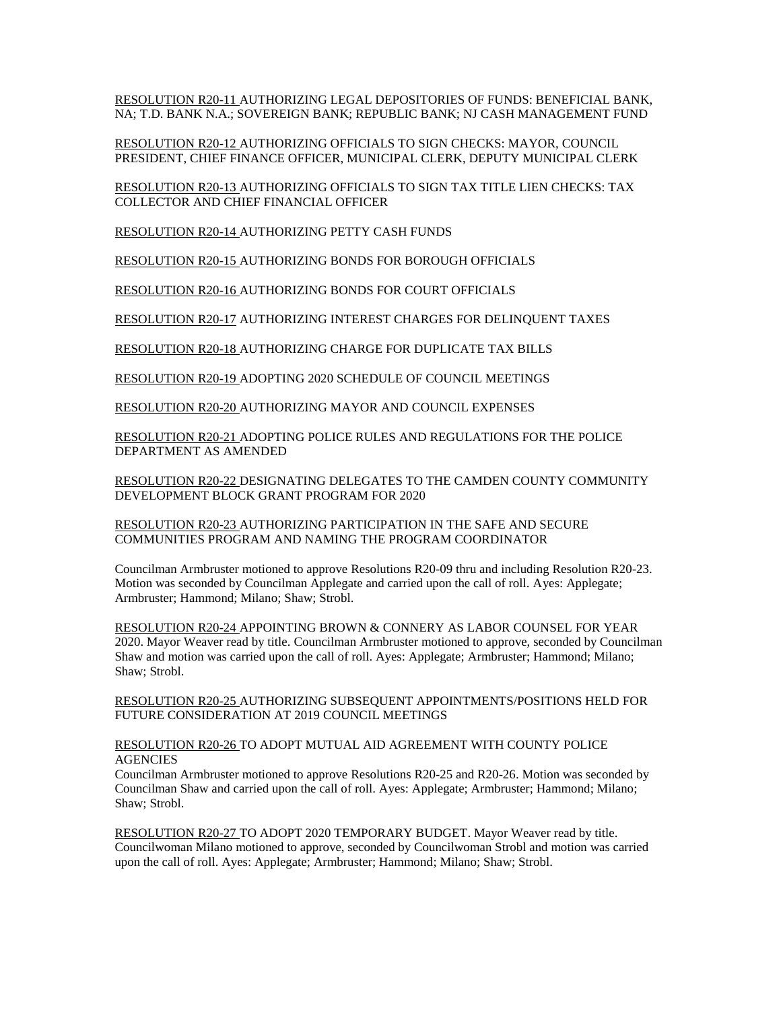RESOLUTION R20-11 AUTHORIZING LEGAL DEPOSITORIES OF FUNDS: BENEFICIAL BANK, NA; T.D. BANK N.A.; SOVEREIGN BANK; REPUBLIC BANK; NJ CASH MANAGEMENT FUND

RESOLUTION R20-12 AUTHORIZING OFFICIALS TO SIGN CHECKS: MAYOR, COUNCIL PRESIDENT, CHIEF FINANCE OFFICER, MUNICIPAL CLERK, DEPUTY MUNICIPAL CLERK

RESOLUTION R20-13 AUTHORIZING OFFICIALS TO SIGN TAX TITLE LIEN CHECKS: TAX COLLECTOR AND CHIEF FINANCIAL OFFICER

RESOLUTION R20-14 AUTHORIZING PETTY CASH FUNDS

RESOLUTION R20-15 AUTHORIZING BONDS FOR BOROUGH OFFICIALS

RESOLUTION R20-16 AUTHORIZING BONDS FOR COURT OFFICIALS

RESOLUTION R20-17 AUTHORIZING INTEREST CHARGES FOR DELINQUENT TAXES

RESOLUTION R20-18 AUTHORIZING CHARGE FOR DUPLICATE TAX BILLS

RESOLUTION R20-19 ADOPTING 2020 SCHEDULE OF COUNCIL MEETINGS

RESOLUTION R20-20 AUTHORIZING MAYOR AND COUNCIL EXPENSES

RESOLUTION R20-21 ADOPTING POLICE RULES AND REGULATIONS FOR THE POLICE DEPARTMENT AS AMENDED

RESOLUTION R20-22 DESIGNATING DELEGATES TO THE CAMDEN COUNTY COMMUNITY DEVELOPMENT BLOCK GRANT PROGRAM FOR 2020

RESOLUTION R20-23 AUTHORIZING PARTICIPATION IN THE SAFE AND SECURE COMMUNITIES PROGRAM AND NAMING THE PROGRAM COORDINATOR

Councilman Armbruster motioned to approve Resolutions R20-09 thru and including Resolution R20-23. Motion was seconded by Councilman Applegate and carried upon the call of roll. Ayes: Applegate; Armbruster; Hammond; Milano; Shaw; Strobl.

RESOLUTION R20-24 APPOINTING BROWN & CONNERY AS LABOR COUNSEL FOR YEAR 2020. Mayor Weaver read by title. Councilman Armbruster motioned to approve, seconded by Councilman Shaw and motion was carried upon the call of roll. Ayes: Applegate; Armbruster; Hammond; Milano; Shaw; Strobl.

RESOLUTION R20-25 AUTHORIZING SUBSEQUENT APPOINTMENTS/POSITIONS HELD FOR FUTURE CONSIDERATION AT 2019 COUNCIL MEETINGS

RESOLUTION R20-26 TO ADOPT MUTUAL AID AGREEMENT WITH COUNTY POLICE **AGENCIES** 

Councilman Armbruster motioned to approve Resolutions R20-25 and R20-26. Motion was seconded by Councilman Shaw and carried upon the call of roll. Ayes: Applegate; Armbruster; Hammond; Milano; Shaw; Strobl.

RESOLUTION R20-27 TO ADOPT 2020 TEMPORARY BUDGET. Mayor Weaver read by title. Councilwoman Milano motioned to approve, seconded by Councilwoman Strobl and motion was carried upon the call of roll. Ayes: Applegate; Armbruster; Hammond; Milano; Shaw; Strobl.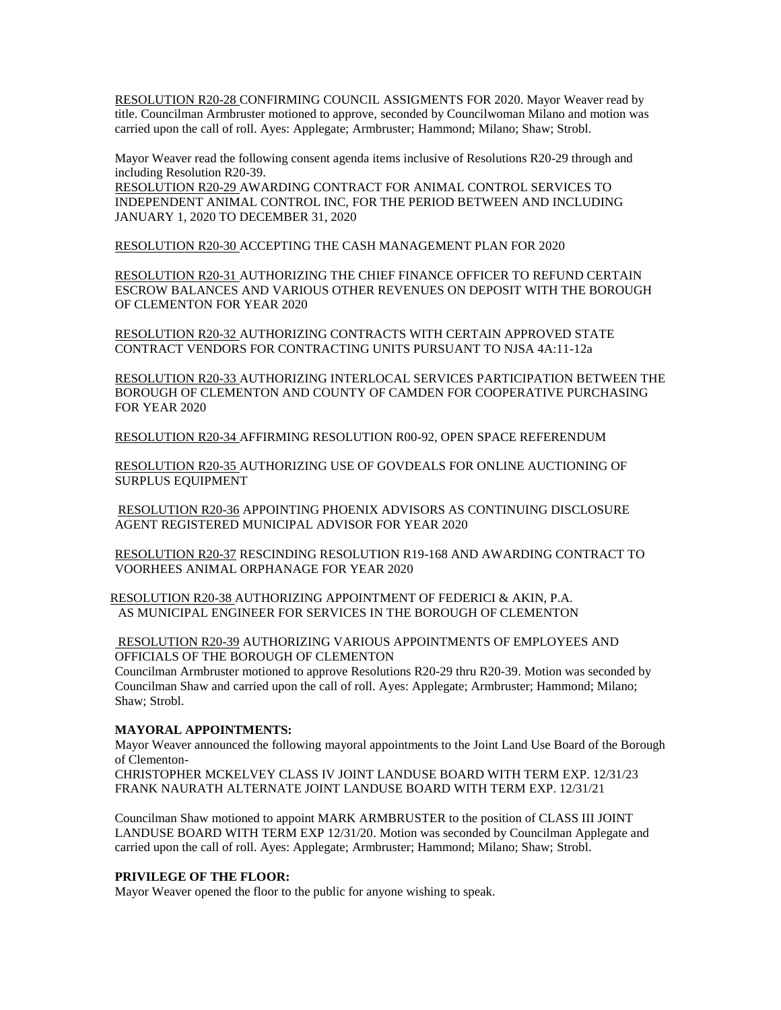RESOLUTION R20-28 CONFIRMING COUNCIL ASSIGMENTS FOR 2020. Mayor Weaver read by title. Councilman Armbruster motioned to approve, seconded by Councilwoman Milano and motion was carried upon the call of roll. Ayes: Applegate; Armbruster; Hammond; Milano; Shaw; Strobl.

Mayor Weaver read the following consent agenda items inclusive of Resolutions R20-29 through and including Resolution R20-39.

RESOLUTION R20-29 AWARDING CONTRACT FOR ANIMAL CONTROL SERVICES TO INDEPENDENT ANIMAL CONTROL INC, FOR THE PERIOD BETWEEN AND INCLUDING JANUARY 1, 2020 TO DECEMBER 31, 2020

RESOLUTION R20-30 ACCEPTING THE CASH MANAGEMENT PLAN FOR 2020

RESOLUTION R20-31 AUTHORIZING THE CHIEF FINANCE OFFICER TO REFUND CERTAIN ESCROW BALANCES AND VARIOUS OTHER REVENUES ON DEPOSIT WITH THE BOROUGH OF CLEMENTON FOR YEAR 2020

RESOLUTION R20-32 AUTHORIZING CONTRACTS WITH CERTAIN APPROVED STATE CONTRACT VENDORS FOR CONTRACTING UNITS PURSUANT TO NJSA 4A:11-12a

RESOLUTION R20-33 AUTHORIZING INTERLOCAL SERVICES PARTICIPATION BETWEEN THE BOROUGH OF CLEMENTON AND COUNTY OF CAMDEN FOR COOPERATIVE PURCHASING FOR YEAR 2020

RESOLUTION R20-34 AFFIRMING RESOLUTION R00-92, OPEN SPACE REFERENDUM

RESOLUTION R20-35 AUTHORIZING USE OF GOVDEALS FOR ONLINE AUCTIONING OF SURPLUS EQUIPMENT

RESOLUTION R20-36 APPOINTING PHOENIX ADVISORS AS CONTINUING DISCLOSURE AGENT REGISTERED MUNICIPAL ADVISOR FOR YEAR 2020

RESOLUTION R20-37 RESCINDING RESOLUTION R19-168 AND AWARDING CONTRACT TO VOORHEES ANIMAL ORPHANAGE FOR YEAR 2020

RESOLUTION R20-38 AUTHORIZING APPOINTMENT OF FEDERICI & AKIN, P.A. AS MUNICIPAL ENGINEER FOR SERVICES IN THE BOROUGH OF CLEMENTON

RESOLUTION R20-39 AUTHORIZING VARIOUS APPOINTMENTS OF EMPLOYEES AND OFFICIALS OF THE BOROUGH OF CLEMENTON

Councilman Armbruster motioned to approve Resolutions R20-29 thru R20-39. Motion was seconded by Councilman Shaw and carried upon the call of roll. Ayes: Applegate; Armbruster; Hammond; Milano; Shaw; Strobl.

# **MAYORAL APPOINTMENTS:**

Mayor Weaver announced the following mayoral appointments to the Joint Land Use Board of the Borough of Clementon-

CHRISTOPHER MCKELVEY CLASS IV JOINT LANDUSE BOARD WITH TERM EXP. 12/31/23 FRANK NAURATH ALTERNATE JOINT LANDUSE BOARD WITH TERM EXP. 12/31/21

Councilman Shaw motioned to appoint MARK ARMBRUSTER to the position of CLASS III JOINT LANDUSE BOARD WITH TERM EXP 12/31/20. Motion was seconded by Councilman Applegate and carried upon the call of roll. Ayes: Applegate; Armbruster; Hammond; Milano; Shaw; Strobl.

#### **PRIVILEGE OF THE FLOOR:**

Mayor Weaver opened the floor to the public for anyone wishing to speak.